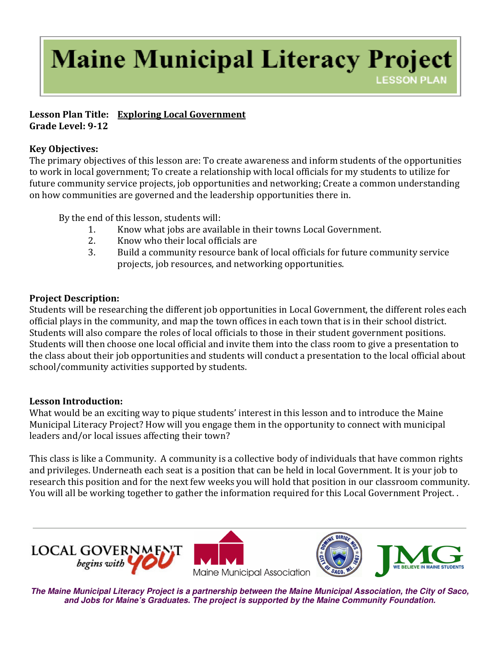# **Maine Municipal Literacy Project LESSON PLAN**

#### Lesson Plan Title: Exploring Local Government Grade Level: 9-12

## Key Objectives:

The primary objectives of this lesson are: To create awareness and inform students of the opportunities to work in local government; To create a relationship with local officials for my students to utilize for future community service projects, job opportunities and networking; Create a common understanding on how communities are governed and the leadership opportunities there in.

By the end of this lesson, students will:

- 1. Know what jobs are available in their towns Local Government.
- 2. Know who their local officials are
- 3. Build a community resource bank of local officials for future community service projects, job resources, and networking opportunities.

# Project Description:

Students will be researching the different job opportunities in Local Government, the different roles each official plays in the community, and map the town offices in each town that is in their school district. Students will also compare the roles of local officials to those in their student government positions. Students will then choose one local official and invite them into the class room to give a presentation to the class about their job opportunities and students will conduct a presentation to the local official about school/community activities supported by students.

# Lesson Introduction:

What would be an exciting way to pique students' interest in this lesson and to introduce the Maine Municipal Literacy Project? How will you engage them in the opportunity to connect with municipal leaders and/or local issues affecting their town?

This class is like a Community. A community is a collective body of individuals that have common rights and privileges. Underneath each seat is a position that can be held in local Government. It is your job to research this position and for the next few weeks you will hold that position in our classroom community. You will all be working together to gather the information required for this Local Government Project. .







**The Maine Municipal Literacy Project is a partnership between the Maine Municipal Association, the City of Saco, and Jobs for Maine's Graduates. The project is supported by the Maine Community Foundation.**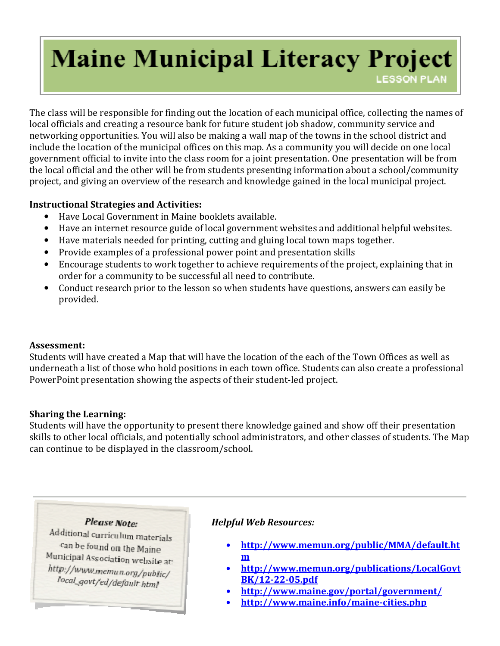# **Maine Municipal Literacy Project**

**LESSON PLAN** 

The class will be responsible for finding out the location of each municipal office, collecting the names of local officials and creating a resource bank for future student job shadow, community service and networking opportunities. You will also be making a wall map of the towns in the school district and include the location of the municipal offices on this map. As a community you will decide on one local government official to invite into the class room for a joint presentation. One presentation will be from the local official and the other will be from students presenting information about a school/community project, and giving an overview of the research and knowledge gained in the local municipal project.

## Instructional Strategies and Activities:

- Have Local Government in Maine booklets available.
- Have an internet resource guide of local government websites and additional helpful websites.
- Have materials needed for printing, cutting and gluing local town maps together.
- Provide examples of a professional power point and presentation skills
- Encourage students to work together to achieve requirements of the project, explaining that in order for a community to be successful all need to contribute.
- Conduct research prior to the lesson so when students have questions, answers can easily be provided.

#### Assessment:

Students will have created a Map that will have the location of the each of the Town Offices as well as underneath a list of those who hold positions in each town office. Students can also create a professional PowerPoint presentation showing the aspects of their student-led project.

#### Sharing the Learning:

Students will have the opportunity to present there knowledge gained and show off their presentation skills to other local officials, and potentially school administrators, and other classes of students. The Map can continue to be displayed in the classroom/school.

#### **Please Note:**

Additional curriculum materials can be found on the Maine Municipal Association website at: http://www.memun.org/public/ local\_govt/ed/default\_html

# Helpful Web Resources:

- http://www.memun.org/public/MMA/default.ht m
- http://www.memun.org/publications/LocalGovt BK/12-22-05.pdf
	- http://www.maine.gov/portal/government/
- http://www.maine.info/maine-cities.php